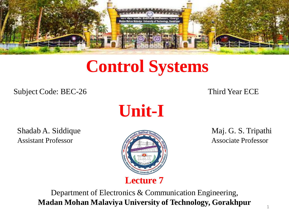

# **Control Systems**

Subject Code: BEC-26 Third Year ECE

**Unit-I**

Shadab A. Siddique **Maj. G. S. Tripathi** Assistant Professor **Associate Professor** Associate Professor



Department of Electronics & Communication Engineering, **Madan Mohan Malaviya University of Technology, Gorakhpur**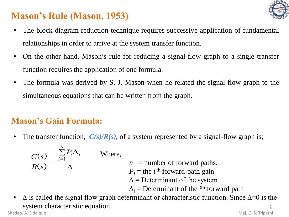

# **Mason's Rule (Mason, 1953)**

- The block diagram reduction technique requires successive application of fundamental relationships in order to arrive at the system transfer function.
- On the other hand, Mason's rule for reducing a signal-flow graph to a single transfer function requires the application of one formula.
- The formula was derived by S. J. Mason when he related the signal-flow graph to the simultaneous equations that can be written from the graph.

# **Mason's Gain Formula:**

• The transfer function,  $C(s)/R(s)$ , of a system represented by a signal-flow graph is;

$$
\frac{C(s)}{R(s)} = \frac{\sum_{i=1}^{n} P_i \Delta_i}{\Delta} \quad \text{Wh}
$$

- ere,
- $n =$  number of forward paths.
- $P_i$  = the *i*<sup>th</sup> forward-path gain.
- $\Delta$  = Determinant of the system
- $\Delta_i$  = Determinant of the *i*<sup>th</sup> forward path
- $\mathfrak{D}$ •  $\Delta$  is called the signal flow graph determinant or characteristic function. Since  $\Delta=0$  is the system characteristic equation. Shadab. A. Siddique Maj. G. S. Tripathi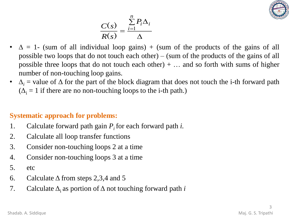

$$
\frac{C(s)}{R(s)} = \frac{\sum_{i=1}^{n} P_i \Delta_i}{\Delta}
$$

- $\Delta = 1$  (sum of all individual loop gains) + (sum of the products of the gains of all possible two loops that do not touch each other) – (sum of the products of the gains of all possible three loops that do not touch each other)  $+ \dots$  and so forth with sums of higher number of non-touching loop gains.
- $\Delta_i$  = value of  $\Delta$  for the part of the block diagram that does not touch the i-th forward path  $(\Delta_i = 1$  if there are no non-touching loops to the i-th path.)

# **Systematic approach for problems:**

- 1. Calculate forward path gain *P<sup>i</sup>* for each forward path *i.*
- 2. Calculate all loop transfer functions
- 3. Consider non-touching loops 2 at a time
- 4. Consider non-touching loops 3 at a time
- 5. etc
- 6. Calculate  $\triangle$  from steps 2,3,4 and 5
- 7. Calculate  $\Delta_i$  as portion of  $\Delta$  not touching forward path *i*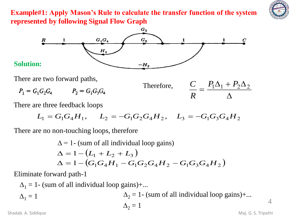

**Example#1: Apply Mason's Rule to calculate the transfer function of the system represented by following Signal Flow Graph**



There are two forward paths,

$$
P_1 = G_1 G_2 G_4 \qquad \qquad P_2 = G_1 G_3 G_4
$$



There are three feedback loops

$$
L_1 = G_1 G_4 H_1, \quad L_2 = -G_1 G_2 G_4 H_2, \quad L_3 = -G_1 G_3 G_4 H_2
$$

There are no non-touching loops, therefore

$$
\Delta = 1 - (sum of all individual loop gains)
$$
  
\n
$$
\Delta = 1 - (L_1 + L_2 + L_3)
$$
  
\n
$$
\Delta = 1 - (G_1G_4H_1 - G_1G_2G_4H_2 - G_1G_3G_4H_2)
$$

Eliminate forward path-1

 $\Delta_1 = 1$ - (sum of all individual loop gains)+...  $\Delta_1 = 1$   $\Delta_2 = 1$ - (sum of all individual loop gains)+...  $\Delta_2 = 1$ Shadab. A. Siddique Maj. G. S. Tripathi

4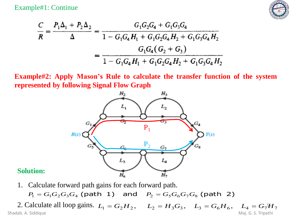Example#1: Continue



$$
\frac{C}{R} = \frac{P_1 \Delta_1 + P_2 \Delta_2}{\Delta} = \frac{G_1 G_2 G_4 + G_1 G_3 G_4}{1 - G_1 G_4 H_1 + G_1 G_2 G_4 H_2 + G_1 G_3 G_4 H_2}
$$

$$
= \frac{G_1 G_4 (G_2 + G_3)}{1 - G_1 G_4 H_1 + G_1 G_2 G_4 H_2 + G_1 G_3 G_4 H_2}
$$

**Example#2: Apply Mason's Rule to calculate the transfer function of the system represented by following Signal Flow Graph**



#### **Solution:**

1. Calculate forward path gains for each forward path*.*

 $P_1 = G_1 G_2 G_3 G_4$  (path 1) and  $P_2 = G_5 G_6 G_7 G_8$  (path 2)

2. Calculate all loop gains.  $L_1 = G_2 H_2$ ,  $L_2 = H_3 G_3$ ,  $L_3 = G_6 H_6$ ,  $L_4 = G_7 H_7$ Shadab. A. Siddique Maj. G. S. Tripathi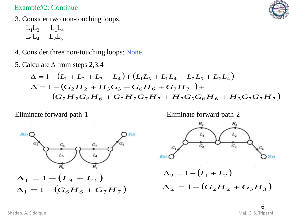### Example#2: Continue



- 3. Consider two non-touching loops.
	- $L_1L_3$   $L_1L_4$  $L_2L_4$   $L_2L_3$
- 4. Consider three non-touching loops: None.
- 5. Calculate Δ from steps 2,3,4

$$
\Delta = 1 - (L_1 + L_2 + L_3 + L_4) + (L_1L_3 + L_1L_4 + L_2L_3 + L_2L_4)
$$
  
\n
$$
\Delta = 1 - (G_2H_2 + H_3G_3 + G_6H_6 + G_7H_7) +
$$
  
\n
$$
(G_2H_2G_6H_6 + G_2H_2G_7H_7 + H_3G_3G_6H_6 + H_3G_3G_7H_7)
$$

Eliminate forward path-1

Eliminate forward path-2



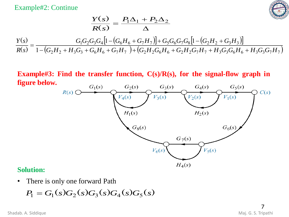Example#2: Continue



$$
\frac{Y(s)}{R(s)} = \frac{P_1 \Delta_1 + P_2 \Delta_2}{\Delta}
$$

$$
\frac{Y(s)}{R(s)} = \frac{G_1 G_2 G_3 G_4 [1 - (G_6 H_6 + G_7 H_7)] + G_5 G_6 G_7 G_8 [1 - (G_2 H_2 + G_3 H_3)]}{1 - (G_2 H_2 + H_3 G_3 + G_6 H_6 + G_7 H_7) + (G_2 H_2 G_6 H_6 + G_2 H_2 G_7 H_7 + H_3 G_3 G_6 H_6 + H_3 G_3 G_7 H_7)}
$$

**Example#3: Find the transfer function, C(s)/R(s), for the signal-flow graph in figure below.**



#### **Solution:**

• There is only one forward Path

$$
P_1 = G_1(s)G_2(s)G_3(s)G_4(s)G_5(s)
$$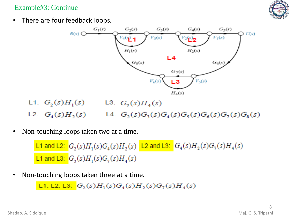Example#3: Continue



• There are four feedback loops.



- L2.  $G_4(s)H_2(s)$  L4.  $G_2(s)G_3(s)G_4(s)G_5(s)G_6(s)G_7(s)G_8(s)$
- Non-touching loops taken two at a time.

L1 and L2:  $G_2(s)H_1(s)G_4(s)H_2(s)$  L2 and L3:  $G_4(s)H_2(s)G_7(s)H_4(s)$ **L1** and L3:  $G_2(s)H_1(s)G_2(s)H_4(s)$ 

• Non-touching loops taken three at a time.

L1, L2, L3:  $G_2(s)H_1(s)G_4(s)H_2(s)G_7(s)H_4(s)$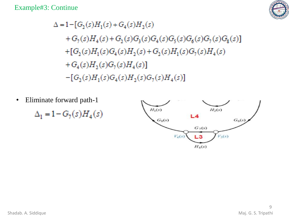Example#3: Continue



 $\Delta = 1 - [G_2(s)H_1(s) + G_4(s)H_2(s)]$ +  $G_7(s)H_4(s)$  +  $G_2(s)G_3(s)G_4(s)G_5(s)G_6(s)G_7(s)G_8(s)$ +[ $G_2(s)H_1(s)G_4(s)H_2(s)$ + $G_2(s)H_1(s)G_2(s)H_4(s)$ + $G_4(s)H_2(s)G_7(s)H_4(s)$  $-[G_2(s)H_1(s)G_4(s)H_2(s)G_7(s)H_4(s)]$ 

• Eliminate forward path-1

 $\Delta_1 = 1 - G_7(s)H_4(s)$ 

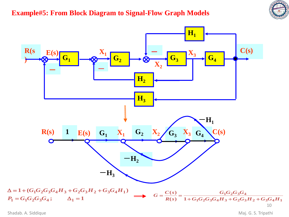# **Example#5: From Block Diagram to Signal-Flow Graph Models**





Shadab. A. Siddique Maj. G. S. Tripathi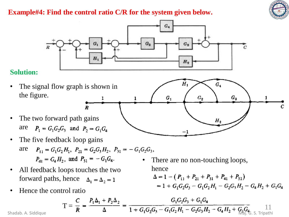

## **Example#4: Find the control ratio C/R for the system given below.**



### **Solution:**

- The signal flow graph is shown in the figure.
- The two forward path gains are  $P_1 = G_1 G_2 G_3$  and  $P_2 = G_1 G_4$
- The five feedback loop gains are  $P_{11} = G_1 G_2 H_1$ ,  $P_{21} = G_2 G_3 H_2$ ,  $P_{31} = -G_1 G_2 G_3$ ,  $P_{41} = G_4 H_2$ , and  $P_{51} = -G_1 G_4$ .

 $\boldsymbol{R}$ 

- All feedback loops touches the two<br>forward paths hence  $\Delta = 1 (P_{11} + P_{21} + P_{31} + P_{41} + P_{51})$ forward paths, hence  $\Delta_1 = \Delta_2 = 1$
- Hence the control ratio

$$
T = \frac{C}{R} = \frac{P_1 \Delta_1 + P_2 \Delta_2}{\Delta} = \frac{G_1 G_2 G_3 + G_1 G_4}{1 + G_1 G_2 G_3 - G_1 G_2 H_1 - G_2 G_3 H_2 - G_4 H_2 + G_1 G_4} \frac{11}{\text{Maj. } G_1 G_2 G_3} \frac{1}{\text{Tripathal}}
$$

Shadab. A. Siddique



There are no non-touching loops,

 $= 1 + G_1G_2G_3 - G_1G_2H_1 - G_2G_3H_2 - G_4H_2 + G_1G_4$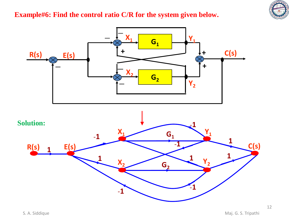

# **Example#6: Find the control ratio C/R for the system given below.**